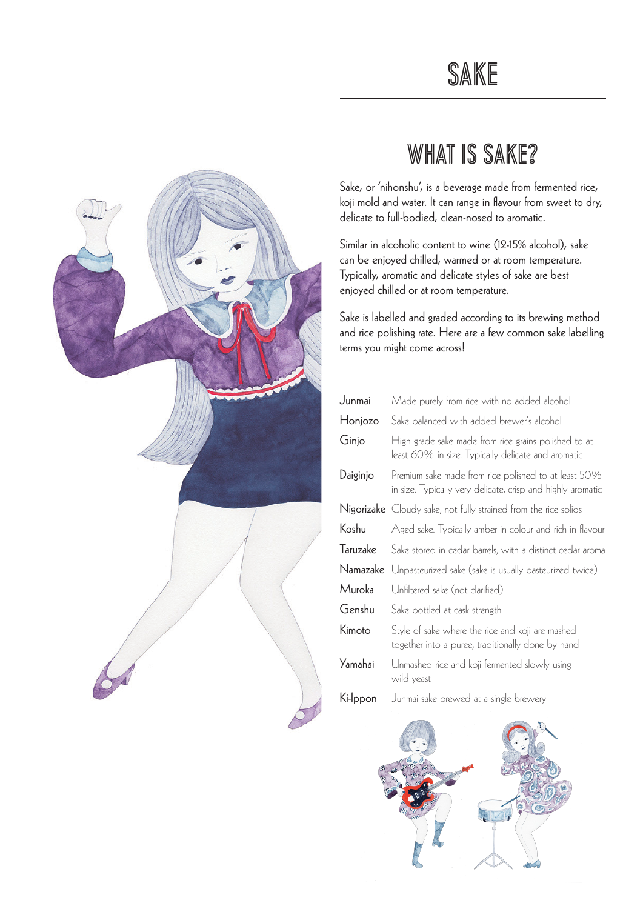

# WHAT IS SAKE?

Sake, or 'nihonshu', is a beverage made from fermented rice, koji mold and water. It can range in flavour from sweet to dry, delicate to full-bodied, clean-nosed to aromatic.

Similar in alcoholic content to wine (12-15% alcohol), sake can be enjoyed chilled, warmed or at room temperature. Typically, aromatic and delicate styles of sake are best enjoyed chilled or at room temperature.

Sake is labelled and graded according to its brewing method and rice polishing rate. Here are a few common sake labelling terms you might come across!

| Junmai   | Made purely from rice with no added alcohol                                                                         |
|----------|---------------------------------------------------------------------------------------------------------------------|
| Honjozo  | Sake balanced with added brewer's alcohol                                                                           |
| Ginjo    | High grade sake made from rice grains polished to at<br>least 60% in size. Typically delicate and aromatic          |
| Daiginjo | Premium sake made from rice polished to at least 50%<br>in size. Typically very delicate, crisp and highly aromatic |
|          | <b>Nigorizake</b> Cloudy sake, not fully strained from the rice solids                                              |
| Koshu    | Aged sake. Typically amber in colour and rich in flavour                                                            |
| Taruzake | Sake stored in cedar barrels, with a distinct cedar aroma                                                           |
|          | <b>Namazake</b> Unpasteurized sake (sake is usually pasteurized twice)                                              |
| Muroka   | Unfiltered sake (not clarified)                                                                                     |
| Genshu   | Sake bottled at cask strength                                                                                       |
| Kimoto   | Style of sake where the rice and koji are mashed<br>together into a puree, traditionally done by hand               |
| Yamahai  | Unmashed rice and koji fermented slowly using<br>wild yeast                                                         |
| Ki-Ippon | Junmai sake brewed at a single brewery                                                                              |

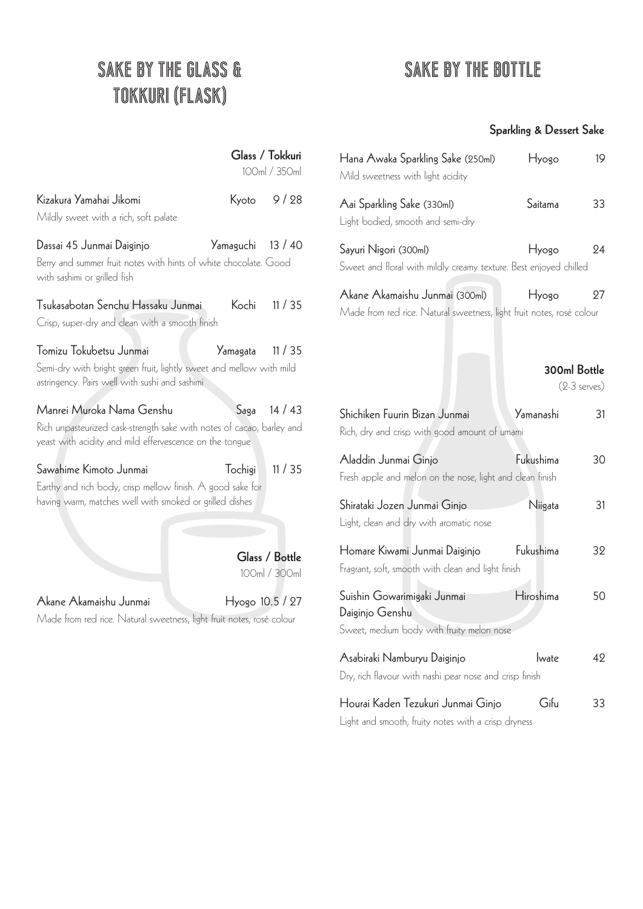## SAKE BY THE GLASS & Tokkuri (FLASK)

## SAKE BY THE BOTTLE

### Sparkling & Dessert Sake

|                                                                                                                                                               |                 | Glass / Tokkuri<br>100ml / 350ml | Han<br>Mild                |
|---------------------------------------------------------------------------------------------------------------------------------------------------------------|-----------------|----------------------------------|----------------------------|
| Kizakura Yamahai Jikomi<br>Mildly sweet with a rich, soft palate                                                                                              | Kyoto           | 9/28                             | Aai<br>Light               |
| Dassai 45 Junmai Daiginjo<br>Berry and summer fruit notes with hints of white chocolate. Good<br>with sashimi or grilled fish                                 | Yamaguchi       | 13/40                            | Sayu<br>Swee               |
| Tsukasabotan Senchu Hassaku Junmai<br>Crisp, super-dry and clean with a smooth finish                                                                         | Kochi           | 11/35                            | Akaı<br>Mad                |
| Tomizu Tokubetsu Junmai<br>Semi-dry with bright green fruit, lightly sweet and mellow with mild<br>astringency. Pairs well with sushi and sashimi             | Yamagata        | 11 / 35                          |                            |
| Manrei Muroka Nama Genshu<br>Rich unpasteurized cask-strength sake with notes of cacao, barley and<br>yeast with acidity and mild effervescence on the tongue | Saga            | 14/43                            | Shicl<br>Rich,             |
| Sawahime Kimoto Junmai<br>Earthy and rich body, crisp mellow finish. A good sake for                                                                          | Tochigi         | 11/35                            | Alac<br>Fresh              |
| having warm, matches well with smoked or grilled dishes                                                                                                       |                 |                                  | Shira<br>Light             |
|                                                                                                                                                               |                 | Glass / Bottle<br>100ml / 300ml  | Hon<br>Fragra              |
| Akane Akamaishu Junmai<br>Made from red rice. Natural sweetness, light fruit notes, rosé colour                                                               | Hyogo 10.5 / 27 |                                  | Suist<br>Daigi<br>Swee     |
|                                                                                                                                                               |                 |                                  | Asal<br>$D_{\Gamma Y_{I}}$ |

| Hana Awaka Sparkling Sake (250ml)<br>Mild sweetness with light acidity                                  | Hyogo     | 19                             |
|---------------------------------------------------------------------------------------------------------|-----------|--------------------------------|
| Aai Sparkling Sake (330ml)<br>Light bodied, smooth and semi-dry                                         | Saitama   | 33                             |
| Sayuri Nigori (300ml)<br>Sweet and floral with mildly creamy texture. Best enjoyed chilled              | Hyogo     | 24                             |
| Akane Akamaishu Junmai (300ml)<br>Made from red rice. Natural sweetness, light fruit notes, rosé colour | Hyogo     | 27                             |
|                                                                                                         |           | 300ml Bottle<br>$(2-3$ serves) |
| Shichiken Fuurin Bizan Junmai<br>Rich, dry and crisp with good amount of umami                          | Yamanashi | 31                             |
| Aladdin Junmai Ginjo<br>Fresh apple and melon on the nose, light and clean finish                       | Fukushima | 30                             |
| Shirataki Jozen Junmai Ginjo<br>Light, clean and dry with aromatic nose                                 | Niigata   | 31                             |
| Homare Kiwami Junmai Daiginjo<br>Fragrant, soft, smooth with clean and light finish                     | Fukushima | 32                             |
| Suishin Gowarimigaki Junmai<br>Daiginjo Genshu<br>Sweet, medium body with fruity melon nose             | Hiroshima | 50                             |
| Asabiraki Namburyu Daiginjo<br>Dry, rich flavour with nashi pear nose and crisp finish                  | lwate     | 42                             |
| Hourai Kaden Tezukuri Junmai Ginjo                                                                      | Gifu      | 33                             |

Light and smooth, fruity notes with a crisp dryness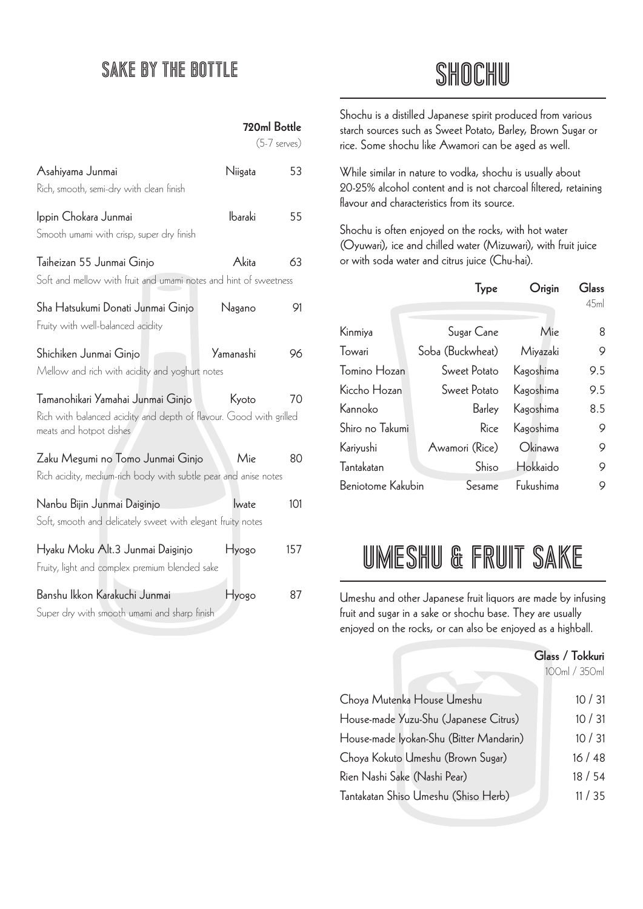## SAKE BY THE BOTTLE

 $790mR<sub>other</sub>$ 

|                                                                                                                                    |                | $(5-7$ serves) |
|------------------------------------------------------------------------------------------------------------------------------------|----------------|----------------|
| Asahiyama Junmai<br>Rich, smooth, semi-dry with clean finish                                                                       | Niigata        | 53             |
| Ippin Chokara Junmai<br>Smooth umami with crisp, super dry finish                                                                  | <b>Ibaraki</b> | 55             |
| Taiheizan 55 Junmai Ginjo<br>Soft and mellow with fruit and umami notes and hint of sweetness                                      | Akita          | 63             |
| Sha Hatsukumi Donati Junmai Ginjo<br>Fruity with well-balanced acidity                                                             | Nagano         | 91             |
| Shichiken Junmai Ginjo<br>Mellow and rich with acidity and yoghurt notes                                                           | Yamanashi      | 96             |
| Tamanohikari Yamahai Junmai Ginjo<br>Rich with balanced acidity and depth of flavour. Good with grilled<br>meats and hotpot dishes | Kyoto          | 70             |
| Zaku Megumi no Tomo Junmai Ginjo<br>Rich acidity, medium-rich body with subtle pear and anise notes                                | Mie            | 80             |
| Nanbu Bijin Junmai Daiginjo<br>Soft, smooth and delicately sweet with elegant fruity notes                                         | <i>wate</i>    | 101            |
| Hyaku Moku Alt.3 Junmai Daiginjo<br>Fruity, light and complex premium blended sake                                                 | Hyogo          | 157            |
| Banshu Ikkon Karakuchi Junmai<br>Super dry with smooth umami and sharp finish                                                      | Hyogo          | 87             |

SHOCHU

Shochu is a distilled Japanese spirit produced from various starch sources such as Sweet Potato, Barley, Brown Sugar or rice. Some shochu like Awamori can be aged as well.

While similar in nature to vodka, shochu is usually about 20-25% alcohol content and is not charcoal filtered, retaining flavour and characteristics from its source.

Shochu is often enjoyed on the rocks, with hot water (Oyuwari), ice and chilled water (Mizuwari), with fruit juice or with soda water and citrus juice (Chu-hai).

|                          | <b>Type</b>      | Origin    | Glass |
|--------------------------|------------------|-----------|-------|
|                          |                  |           | 45ml  |
| Kinmiya                  | Sugar Cane       | Mie       | 8     |
| Towari                   | Soba (Buckwheat) | Miyazaki  | 9     |
| Tomino Hozan             | Sweet Potato     | Kagoshima | 9.5   |
| Kiccho Hozan             | Sweet Potato     | Kagoshima | 9.5   |
| Kannoko                  | Barley           | Kagoshima | 8.5   |
| Shiro no Takumi          | Rice.            | Kagoshima | 9     |
| Kariyushi                | Awamori (Rice)   | Okinawa   | 9     |
| Tantakatan               | Shiso            | Hokkaido  | 9     |
| <b>Beniotome Kakubin</b> | Sesame           | Fukushima | 9     |

# UMESHU & FRUIT SAKE

Umeshu and other Japanese fruit liquors are made by infusing fruit and sugar in a sake or shochu base. They are usually enjoyed on the rocks, or can also be enjoyed as a highball.

|                                         | Glass / Tokkuri |
|-----------------------------------------|-----------------|
|                                         | 100ml / 350ml   |
| Choya Mutenka House Umeshu              | 10/31           |
| House-made Yuzu-Shu (Japanese Citrus)   | 10/31           |
| House-made lyokan-Shu (Bitter Mandarin) | 10/31           |
| Choya Kokuto Umeshu (Brown Sugar)       | 16/48           |
| Rien Nashi Sake (Nashi Pear)            | 18/54           |
| Tantakatan Shiso Umeshu (Shiso Herb)    | 11 / 35         |
|                                         |                 |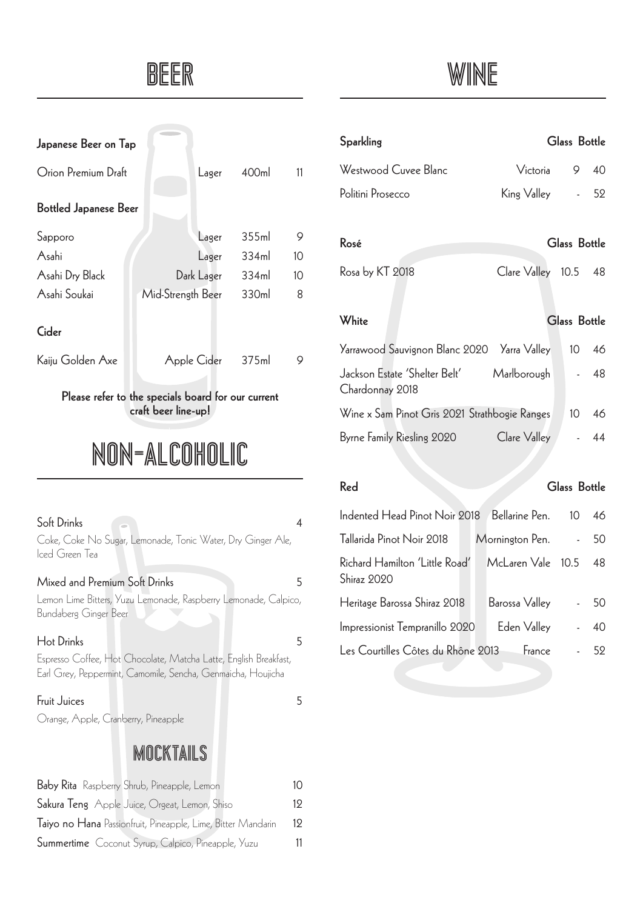# **BEER**

| Japanese Beer on Tap         |                   |       |                 |  |  |  |
|------------------------------|-------------------|-------|-----------------|--|--|--|
| Orion Premium Draft          | Lager             | 400ml | 11              |  |  |  |
| <b>Bottled Japanese Beer</b> |                   |       |                 |  |  |  |
| Sapporo                      | Lager             | 355ml | 9               |  |  |  |
| Asahi                        | Lager             | 334ml | 10 <sup>1</sup> |  |  |  |
| Asahi Dry Black              | Dark Lager        | 334ml | 10 <sup>1</sup> |  |  |  |
| Asahi Soukai                 | Mid-Strength Beer | 330ml | 8               |  |  |  |
| Cider                        |                   |       |                 |  |  |  |
| Kaiju Golden Axe             | Apple Cider       | 375ml | 9               |  |  |  |
|                              |                   |       |                 |  |  |  |

Please refer to the specials board for our current craft beer line-up!

# Non-Alcoholic

| Soft Drinks<br>-<br>Coke, Coke No Sugar, Lemonade, Tonic Water, Dry Ginger Ale,<br>Iced Green Tea                                |   |
|----------------------------------------------------------------------------------------------------------------------------------|---|
| Mixed and Premium Soft Drinks                                                                                                    | 5 |
| Lemon Lime Bitters, Yuzu Lemonade, Raspberry Lemonade, Calpico,<br>Bundaberg Ginger Beer                                         |   |
| <b>Hot Drinks</b>                                                                                                                | 5 |
| Espresso Coffee, Hot Chocolate, Matcha Latte, English Breakfast,<br>Earl Grey, Peppermint, Camomile, Sencha, Genmaicha, Houjicha |   |
| Fruit Juices                                                                                                                     | 5 |
| Orange, Apple, Cranberry, Pineapple                                                                                              |   |
| MOCKTAILS                                                                                                                        |   |
| $D_2$ , $D_{212}$ , $D \perp \square$ $C \perp D_2$ , $D \perp \perp \square$                                                    |   |

| Baby Rita Raspberry Shrub, Pineapple, Lemon                  | 10  |
|--------------------------------------------------------------|-----|
| Sakura Teng Apple Juice, Orgeat, Lemon, Shiso                | 19. |
| Taiyo no Hana Passionfruit, Pineapple, Lime, Bitter Mandarin | 19. |
| <b>Summertime</b> Coconut Syrup, Calpico, Pineapple, Yuzu    |     |

| <b>Sparkling</b>                                 |                   | <b>Glass Bottle</b> |    |
|--------------------------------------------------|-------------------|---------------------|----|
| Westwood Cuvee Blanc                             | Victoria          | 9                   | 40 |
| Politini Prosecco                                | King Valley       |                     | 52 |
|                                                  |                   |                     |    |
| Rosé                                             |                   | Glass Bottle        |    |
| Rosa by KT 2018                                  | Clare Valley 10.5 |                     | 48 |
| White                                            |                   | <b>Glass Bottle</b> |    |
| Yarrawood Sauvignon Blanc 2020 Yarra Valley      |                   | 10 <sup>1</sup>     | 46 |
| Jackson Estate 'Shelter Belt'<br>Chardonnay 2018 | Marlborough       |                     | 48 |
| Wine x Sam Pinot Gris 2021 Strathbogie Ranges    |                   | 10                  | 46 |
| Byrne Family Riesling 2020                       | Clare Valley      |                     | 44 |

#### Red Glass Bottle

| Indented Head Pinot Noir 2018 Bellarine Pen.         |  |                   | 10 $\circ$                 | 46    |
|------------------------------------------------------|--|-------------------|----------------------------|-------|
| Tallarida Pinot Noir 2018                            |  | Mornington Pen.   | $\mathcal{L}^{\text{max}}$ | 50    |
| Richard Hamilton 'Little Road'<br><b>Shiraz 2020</b> |  | McLaren Vale 10.5 |                            | 48    |
| Heritage Barossa Shiraz 2018                         |  | Barossa Valley    |                            | $-50$ |
| Impressionist Tempranillo 2020                       |  | Eden Valley       | $\mathcal{L}^{\text{max}}$ | 40    |
| Les Courtilles Côtes du Rhône 2013                   |  | France            |                            | 59    |

# WINE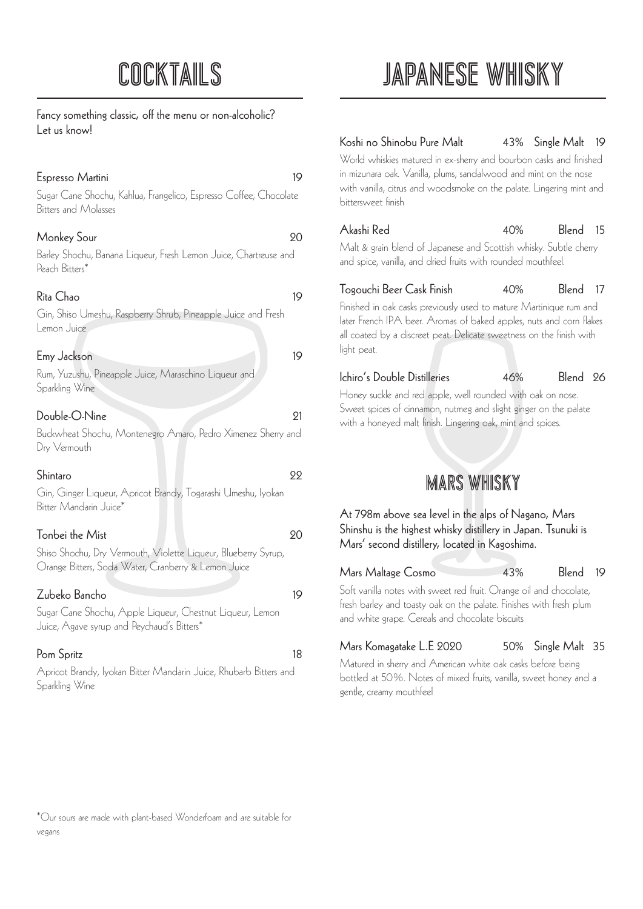# COCKTAILS

Fancy something classic, off the menu or non-alcoholic? Let us know!

#### Espresso Martini 19

Sugar Cane Shochu, Kahlua, Frangelico, Espresso Coffee, Chocolate Bitters and Molasses

### Monkey Sour 20

Barley Shochu, Banana Liqueur, Fresh Lemon Juice, Chartreuse and Peach Bitters\*

### Rita Chao 19

Gin, Shiso Umeshu, Raspberry Shrub, Pineapple Juice and Fresh Lemon Juice

#### Emy Jackson 19

Rum, Yuzushu, Pineapple Juice, Maraschino Liqueur and Sparkling Wine

#### Double-O-Nine 21

Buckwheat Shochu, Montenegro Amaro, Pedro Ximenez Sherry and Dry Vermouth

#### Shintaro 22

Gin, Ginger Liqueur, Apricot Brandy, Togarashi Umeshu, Iyokan Bitter Mandarin Juice\*

### Tonbei the Mist 20

Shiso Shochu, Dry Vermouth, Violette Liqueur, Blueberry Syrup, Orange Bitters, Soda Water, Cranberry & Lemon Juice

### Zubeko Bancho 19

Sugar Cane Shochu, Apple Liqueur, Chestnut Liqueur, Lemon Juice, Agave syrup and Peychaud's Bitters\*

### Pom Spritz 18

Apricot Brandy, Iyokan Bitter Mandarin Juice, Rhubarb Bitters and Sparkling Wine

# Japanese Whisky

### Koshi no Shinobu Pure Malt  $43\%$  Single Malt 19

World whiskies matured in ex-sherry and bourbon casks and finished in mizunara oak. Vanilla, plums, sandalwood and mint on the nose with vanilla, citrus and woodsmoke on the palate. Lingering mint and bittersweet finish

Akashi Red 40% Blend 15

Malt & grain blend of Japanese and Scottish whisky. Subtle cherry and spice, vanilla, and dried fruits with rounded mouthfeel.

#### Togouchi Beer Cask Finish 40% Blend 17

Finished in oak casks previously used to mature Martinique rum and later French IPA beer. Aromas of baked apples, nuts and corn flakes all coated by a discreet peat. Delicate sweetness on the finish with light peat.

### Ichiro's Double Distilleries 46% Blend 26

Honey suckle and red apple, well rounded with oak on nose. Sweet spices of cinnamon, nutmeg and slight ginger on the palate with a honeyed malt finish. Lingering oak, mint and spices.

## **MARS WHISKY**

At 798m above sea level in the alps of Nagano, Mars Shinshu is the highest whisky distillery in Japan. Tsunuki is Mars' second distillery, located in Kagoshima.

## Mars Maltage Cosmo 43% Blend 19

Soft vanilla notes with sweet red fruit. Orange oil and chocolate, fresh barley and toasty oak on the palate. Finishes with fresh plum and white grape. Cereals and chocolate biscuits

### Mars Komagatake L.E 2020 50% Single Malt 35

Matured in sherry and American white oak casks before being bottled at 50%. Notes of mixed fruits, vanilla, sweet honey and a gentle, creamy mouthfeel

\*Our sours are made with plant-based Wonderfoam and are suitable for vegans